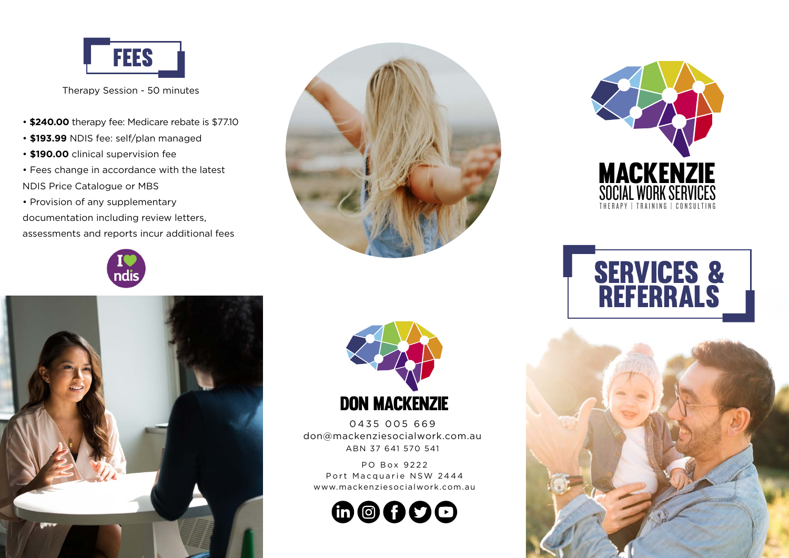

Therapy Session - 50 minutes

- **\$240.00** therapy fee: Medicare rebate is \$77.10
- **\$193.99** NDIS fee: self/plan managed
- **\$190.00** clinical supervision fee
- Fees change in accordance with the latest NDIS Price Catalogue or MBS
- Provision of any supplementary

documentation including review letters, assessments and reports incur additional fees









0435 005 669 don@mackenziesocialwork.com.au ABN 37 641 570 541

PO Box 9222 Port Macquarie NSW 2444 www.mackenziesocialwork.com.au